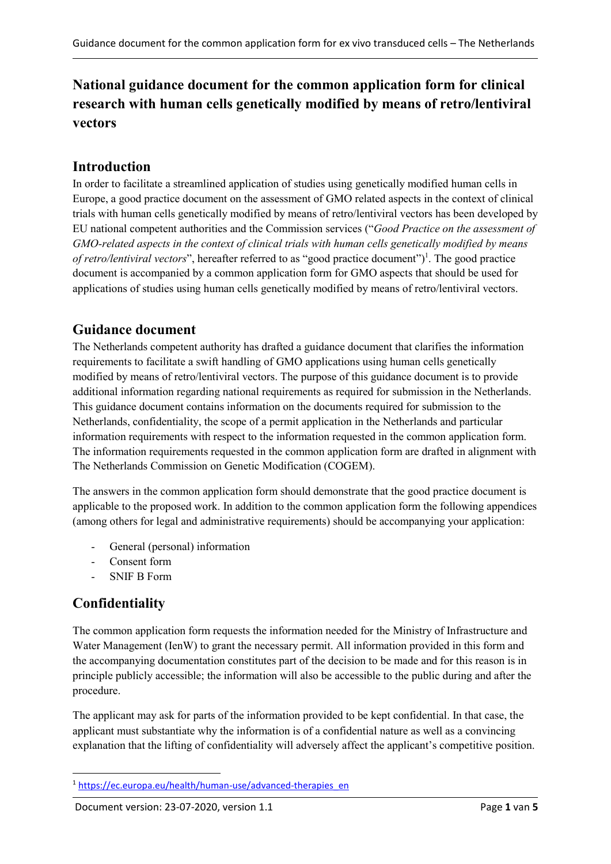# **National guidance document for the common application form for clinical research with human cells genetically modified by means of retro/lentiviral vectors**

## **Introduction**

In order to facilitate a streamlined application of studies using genetically modified human cells in Europe, a good practice document on the assessment of GMO related aspects in the context of clinical trials with human cells genetically modified by means of retro/lentiviral vectors has been developed by EU national competent authorities and the Commission services ("*Good Practice on the assessment of GMO-related aspects in the context of clinical trials with human cells genetically modified by means of retro/lentiviral vectors*", hereafter referred to as "good practice document") 1 . The good practice document is accompanied by a common application form for GMO aspects that should be used for applications of studies using human cells genetically modified by means of retro/lentiviral vectors.

### **Guidance document**

The Netherlands competent authority has drafted a guidance document that clarifies the information requirements to facilitate a swift handling of GMO applications using human cells genetically modified by means of retro/lentiviral vectors. The purpose of this guidance document is to provide additional information regarding national requirements as required for submission in the Netherlands. This guidance document contains information on the documents required for submission to the Netherlands, confidentiality, the scope of a permit application in the Netherlands and particular information requirements with respect to the information requested in the common application form. The information requirements requested in the common application form are drafted in alignment with The Netherlands Commission on Genetic Modification (COGEM).

The answers in the common application form should demonstrate that the good practice document is applicable to the proposed work. In addition to the common application form the following appendices (among others for legal and administrative requirements) should be accompanying your application:

- General (personal) information
- Consent form
- SNIF B Form

# **Confidentiality**

1

The common application form requests the information needed for the Ministry of Infrastructure and Water Management (IenW) to grant the necessary permit. All information provided in this form and the accompanying documentation constitutes part of the decision to be made and for this reason is in principle publicly accessible; the information will also be accessible to the public during and after the procedure.

The applicant may ask for parts of the information provided to be kept confidential. In that case, the applicant must substantiate why the information is of a confidential nature as well as a convincing explanation that the lifting of confidentiality will adversely affect the applicant's competitive position.

<sup>1</sup> [https://ec.europa.eu/health/human-use/advanced-therapies\\_en](https://ec.europa.eu/health/human-use/advanced-therapies_en)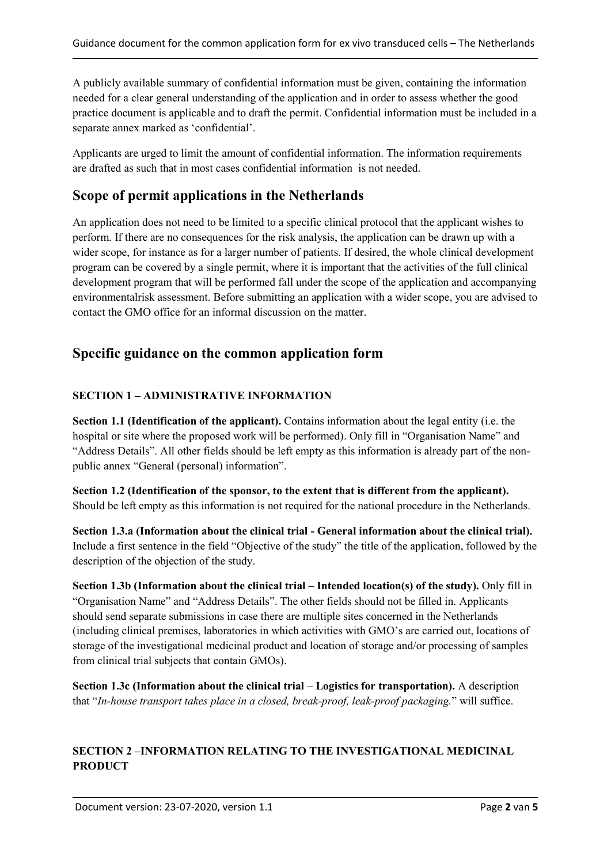A publicly available summary of confidential information must be given, containing the information needed for a clear general understanding of the application and in order to assess whether the good practice document is applicable and to draft the permit. Confidential information must be included in a separate annex marked as 'confidential'.

Applicants are urged to limit the amount of confidential information. The information requirements are drafted as such that in most cases confidential information is not needed.

### **Scope of permit applications in the Netherlands**

An application does not need to be limited to a specific clinical protocol that the applicant wishes to perform. If there are no consequences for the risk analysis, the application can be drawn up with a wider scope, for instance as for a larger number of patients. If desired, the whole clinical development program can be covered by a single permit, where it is important that the activities of the full clinical development program that will be performed fall under the scope of the application and accompanying environmentalrisk assessment. Before submitting an application with a wider scope, you are advised to contact the GMO office for an informal discussion on the matter.

### **Specific guidance on the common application form**

#### **SECTION 1 – ADMINISTRATIVE INFORMATION**

**Section 1.1 (Identification of the applicant).** Contains information about the legal entity (i.e. the hospital or site where the proposed work will be performed). Only fill in "Organisation Name" and "Address Details". All other fields should be left empty as this information is already part of the nonpublic annex "General (personal) information".

**Section 1.2 (Identification of the sponsor, to the extent that is different from the applicant).** Should be left empty as this information is not required for the national procedure in the Netherlands.

**Section 1.3.a (Information about the clinical trial - General information about the clinical trial).**  Include a first sentence in the field "Objective of the study" the title of the application, followed by the description of the objection of the study.

**Section 1.3b (Information about the clinical trial – Intended location(s) of the study).** Only fill in "Organisation Name" and "Address Details". The other fields should not be filled in. Applicants should send separate submissions in case there are multiple sites concerned in the Netherlands (including clinical premises, laboratories in which activities with GMO's are carried out, locations of storage of the investigational medicinal product and location of storage and/or processing of samples from clinical trial subjects that contain GMOs).

**Section 1.3c** (Information about the clinical trial – Logistics for transportation). A description that "*In-house transport takes place in a closed, break-proof, leak-proof packaging.*" will suffice.

#### **SECTION 2 –INFORMATION RELATING TO THE INVESTIGATIONAL MEDICINAL PRODUCT**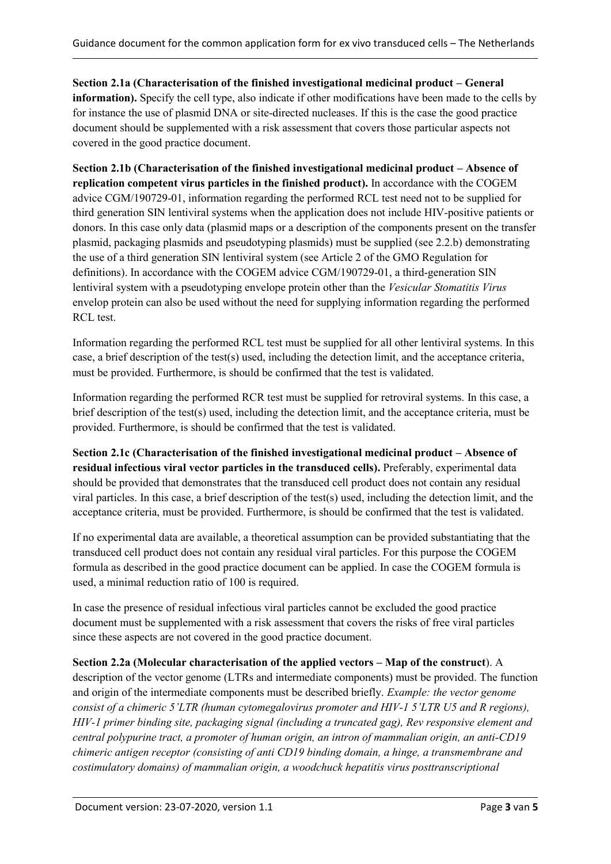**Section 2.1a (Characterisation of the finished investigational medicinal product – General information).** Specify the cell type, also indicate if other modifications have been made to the cells by for instance the use of plasmid DNA or site-directed nucleases. If this is the case the good practice document should be supplemented with a risk assessment that covers those particular aspects not covered in the good practice document.

**Section 2.1b (Characterisation of the finished investigational medicinal product – Absence of replication competent virus particles in the finished product).** In accordance with the COGEM advice CGM/190729-01, information regarding the performed RCL test need not to be supplied for third generation SIN lentiviral systems when the application does not include HIV-positive patients or donors. In this case only data (plasmid maps or a description of the components present on the transfer plasmid, packaging plasmids and pseudotyping plasmids) must be supplied (see 2.2.b) demonstrating the use of a third generation SIN lentiviral system (see Article 2 of the GMO Regulation for definitions). In accordance with the COGEM advice CGM/190729-01, a third-generation SIN lentiviral system with a pseudotyping envelope protein other than the *Vesicular Stomatitis Virus* envelop protein can also be used without the need for supplying information regarding the performed RCL test.

Information regarding the performed RCL test must be supplied for all other lentiviral systems. In this case, a brief description of the test(s) used, including the detection limit, and the acceptance criteria, must be provided. Furthermore, is should be confirmed that the test is validated.

Information regarding the performed RCR test must be supplied for retroviral systems. In this case, a brief description of the test(s) used, including the detection limit, and the acceptance criteria, must be provided. Furthermore, is should be confirmed that the test is validated.

**Section 2.1c (Characterisation of the finished investigational medicinal product – Absence of residual infectious viral vector particles in the transduced cells).** Preferably, experimental data should be provided that demonstrates that the transduced cell product does not contain any residual viral particles. In this case, a brief description of the test(s) used, including the detection limit, and the acceptance criteria, must be provided. Furthermore, is should be confirmed that the test is validated.

If no experimental data are available, a theoretical assumption can be provided substantiating that the transduced cell product does not contain any residual viral particles. For this purpose the COGEM formula as described in the good practice document can be applied. In case the COGEM formula is used, a minimal reduction ratio of 100 is required.

In case the presence of residual infectious viral particles cannot be excluded the good practice document must be supplemented with a risk assessment that covers the risks of free viral particles since these aspects are not covered in the good practice document.

#### **Section 2.2a (Molecular characterisation of the applied vectors – Map of the construct**). A

description of the vector genome (LTRs and intermediate components) must be provided. The function and origin of the intermediate components must be described briefly. *Example: the vector genome consist of a chimeric 5'LTR (human cytomegalovirus promoter and HIV-1 5'LTR U5 and R regions), HIV-1 primer binding site, packaging signal (including a truncated gag), Rev responsive element and central polypurine tract, a promoter of human origin, an intron of mammalian origin, an anti-CD19 chimeric antigen receptor (consisting of anti CD19 binding domain, a hinge, a transmembrane and costimulatory domains) of mammalian origin, a woodchuck hepatitis virus posttranscriptional*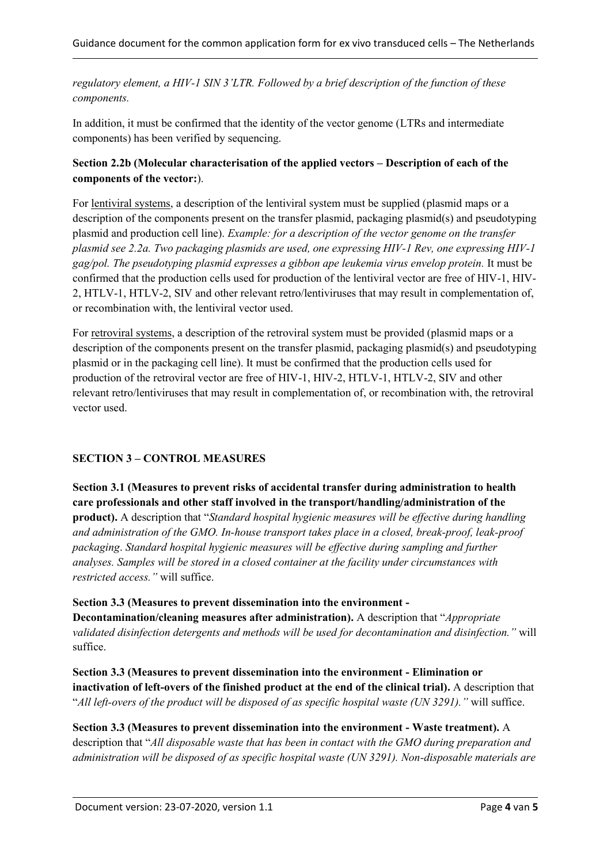*regulatory element, a HIV-1 SIN 3'LTR. Followed by a brief description of the function of these components.*

In addition, it must be confirmed that the identity of the vector genome (LTRs and intermediate components) has been verified by sequencing.

#### **Section 2.2b (Molecular characterisation of the applied vectors – Description of each of the components of the vector:**).

For lentiviral systems, a description of the lentiviral system must be supplied (plasmid maps or a description of the components present on the transfer plasmid, packaging plasmid(s) and pseudotyping plasmid and production cell line). *Example: for a description of the vector genome on the transfer plasmid see 2.2a. Two packaging plasmids are used, one expressing HIV-1 Rev, one expressing HIV-1 gag/pol. The pseudotyping plasmid expresses a gibbon ape leukemia virus envelop protein.* It must be confirmed that the production cells used for production of the lentiviral vector are free of HIV-1, HIV-2, HTLV-1, HTLV-2, SIV and other relevant retro/lentiviruses that may result in complementation of, or recombination with, the lentiviral vector used.

For retroviral systems, a description of the retroviral system must be provided (plasmid maps or a description of the components present on the transfer plasmid, packaging plasmid(s) and pseudotyping plasmid or in the packaging cell line). It must be confirmed that the production cells used for production of the retroviral vector are free of HIV-1, HIV-2, HTLV-1, HTLV-2, SIV and other relevant retro/lentiviruses that may result in complementation of, or recombination with, the retroviral vector used.

#### **SECTION 3 – CONTROL MEASURES**

**Section 3.1 (Measures to prevent risks of accidental transfer during administration to health care professionals and other staff involved in the transport/handling/administration of the product).** A description that "*Standard hospital hygienic measures will be effective during handling and administration of the GMO. In-house transport takes place in a closed, break-proof, leak-proof packaging*. *Standard hospital hygienic measures will be effective during sampling and further analyses. Samples will be stored in a closed container at the facility under circumstances with restricted access."* will suffice.

**Section 3.3 (Measures to prevent dissemination into the environment -**

**Decontamination/cleaning measures after administration).** A description that "*Appropriate validated disinfection detergents and methods will be used for decontamination and disinfection."* will suffice.

**Section 3.3 (Measures to prevent dissemination into the environment - Elimination or inactivation of left-overs of the finished product at the end of the clinical trial).** A description that "*All left-overs of the product will be disposed of as specific hospital waste (UN 3291)."* will suffice.

**Section 3.3 (Measures to prevent dissemination into the environment - Waste treatment).** A description that "*All disposable waste that has been in contact with the GMO during preparation and administration will be disposed of as specific hospital waste (UN 3291). Non-disposable materials are*